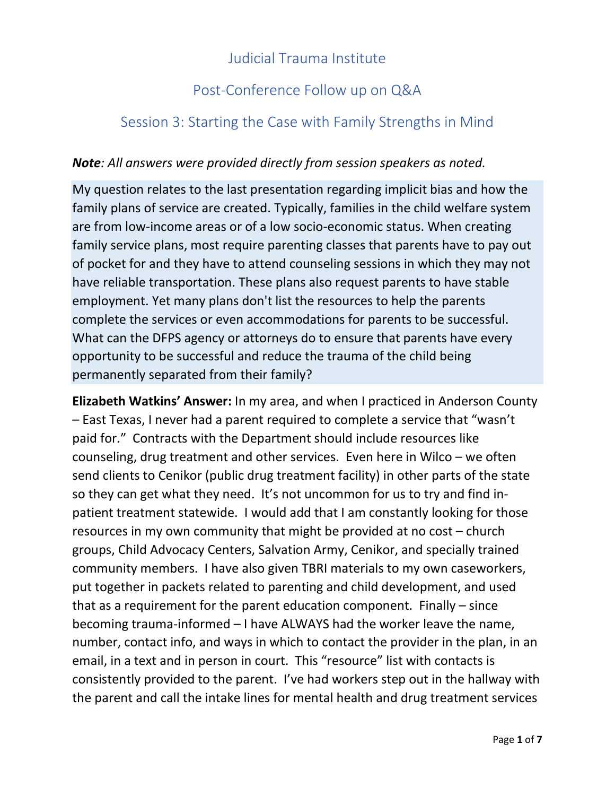## Judicial Trauma Institute

## Post-Conference Follow up on Q&A

## Session 3: Starting the Case with Family Strengths in Mind

## *Note: All answers were provided directly from session speakers as noted.*

My question relates to the last presentation regarding implicit bias and how the family plans of service are created. Typically, families in the child welfare system are from low-income areas or of a low socio-economic status. When creating family service plans, most require parenting classes that parents have to pay out of pocket for and they have to attend counseling sessions in which they may not have reliable transportation. These plans also request parents to have stable employment. Yet many plans don't list the resources to help the parents complete the services or even accommodations for parents to be successful. What can the DFPS agency or attorneys do to ensure that parents have every opportunity to be successful and reduce the trauma of the child being permanently separated from their family?

**Elizabeth Watkins' Answer:** In my area, and when I practiced in Anderson County – East Texas, I never had a parent required to complete a service that "wasn't paid for." Contracts with the Department should include resources like counseling, drug treatment and other services. Even here in Wilco – we often send clients to Cenikor (public drug treatment facility) in other parts of the state so they can get what they need. It's not uncommon for us to try and find inpatient treatment statewide. I would add that I am constantly looking for those resources in my own community that might be provided at no cost – church groups, Child Advocacy Centers, Salvation Army, Cenikor, and specially trained community members. I have also given TBRI materials to my own caseworkers, put together in packets related to parenting and child development, and used that as a requirement for the parent education component. Finally – since becoming trauma-informed – I have ALWAYS had the worker leave the name, number, contact info, and ways in which to contact the provider in the plan, in an email, in a text and in person in court. This "resource" list with contacts is consistently provided to the parent. I've had workers step out in the hallway with the parent and call the intake lines for mental health and drug treatment services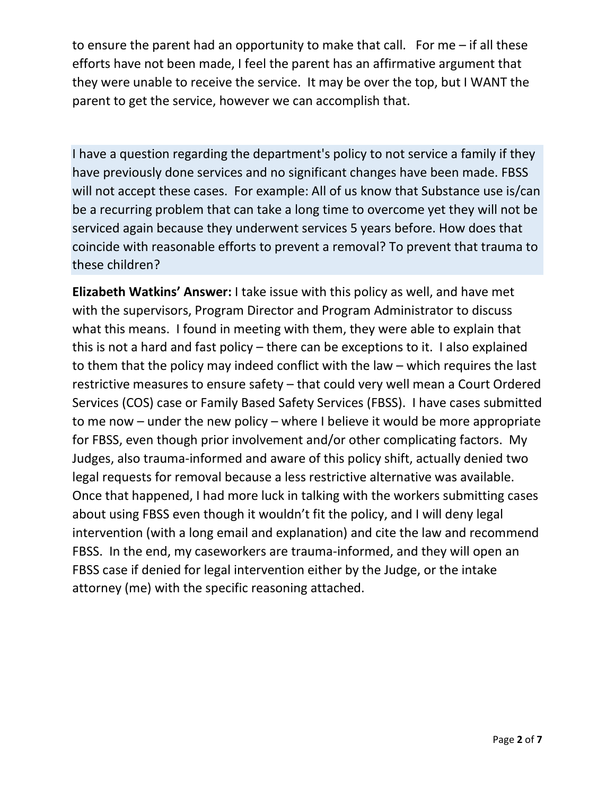to ensure the parent had an opportunity to make that call. For me – if all these efforts have not been made, I feel the parent has an affirmative argument that they were unable to receive the service. It may be over the top, but I WANT the parent to get the service, however we can accomplish that.

I have a question regarding the department's policy to not service a family if they have previously done services and no significant changes have been made. FBSS will not accept these cases. For example: All of us know that Substance use is/can be a recurring problem that can take a long time to overcome yet they will not be serviced again because they underwent services 5 years before. How does that coincide with reasonable efforts to prevent a removal? To prevent that trauma to these children?

**Elizabeth Watkins' Answer:** I take issue with this policy as well, and have met with the supervisors, Program Director and Program Administrator to discuss what this means. I found in meeting with them, they were able to explain that this is not a hard and fast policy – there can be exceptions to it. I also explained to them that the policy may indeed conflict with the law – which requires the last restrictive measures to ensure safety – that could very well mean a Court Ordered Services (COS) case or Family Based Safety Services (FBSS). I have cases submitted to me now – under the new policy – where I believe it would be more appropriate for FBSS, even though prior involvement and/or other complicating factors. My Judges, also trauma-informed and aware of this policy shift, actually denied two legal requests for removal because a less restrictive alternative was available. Once that happened, I had more luck in talking with the workers submitting cases about using FBSS even though it wouldn't fit the policy, and I will deny legal intervention (with a long email and explanation) and cite the law and recommend FBSS. In the end, my caseworkers are trauma-informed, and they will open an FBSS case if denied for legal intervention either by the Judge, or the intake attorney (me) with the specific reasoning attached.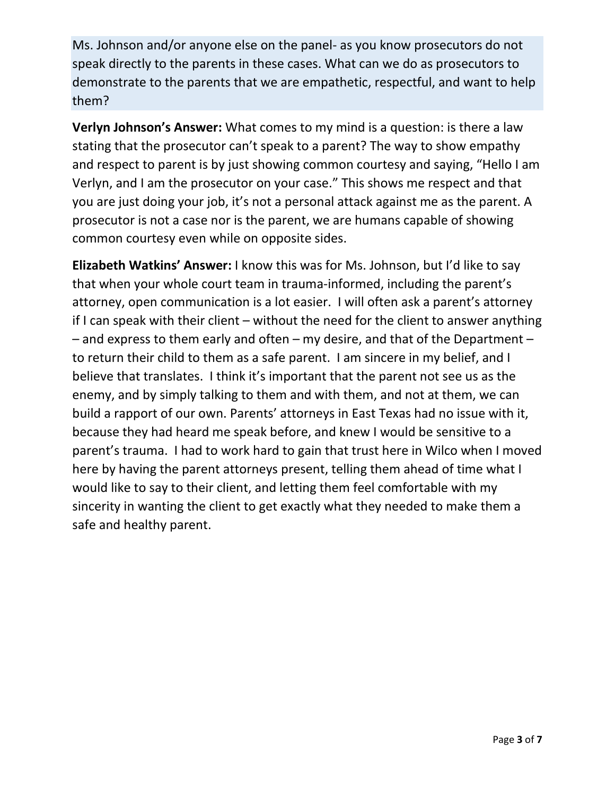Ms. Johnson and/or anyone else on the panel- as you know prosecutors do not speak directly to the parents in these cases. What can we do as prosecutors to demonstrate to the parents that we are empathetic, respectful, and want to help them?

**Verlyn Johnson's Answer:** What comes to my mind is a question: is there a law stating that the prosecutor can't speak to a parent? The way to show empathy and respect to parent is by just showing common courtesy and saying, "Hello I am Verlyn, and I am the prosecutor on your case." This shows me respect and that you are just doing your job, it's not a personal attack against me as the parent. A prosecutor is not a case nor is the parent, we are humans capable of showing common courtesy even while on opposite sides.

**Elizabeth Watkins' Answer:** I know this was for Ms. Johnson, but I'd like to say that when your whole court team in trauma-informed, including the parent's attorney, open communication is a lot easier. I will often ask a parent's attorney if I can speak with their client – without the need for the client to answer anything – and express to them early and often – my desire, and that of the Department – to return their child to them as a safe parent. I am sincere in my belief, and I believe that translates. I think it's important that the parent not see us as the enemy, and by simply talking to them and with them, and not at them, we can build a rapport of our own. Parents' attorneys in East Texas had no issue with it, because they had heard me speak before, and knew I would be sensitive to a parent's trauma. I had to work hard to gain that trust here in Wilco when I moved here by having the parent attorneys present, telling them ahead of time what I would like to say to their client, and letting them feel comfortable with my sincerity in wanting the client to get exactly what they needed to make them a safe and healthy parent.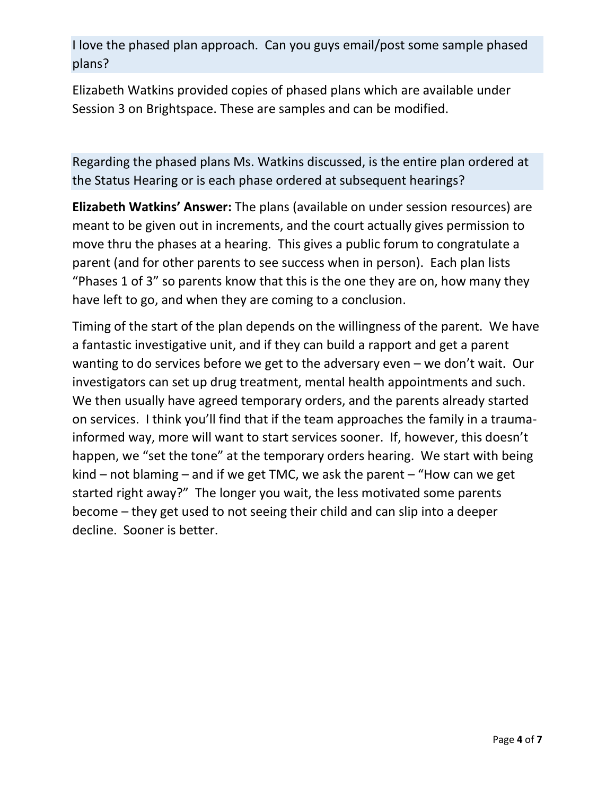I love the phased plan approach. Can you guys email/post some sample phased plans?

Elizabeth Watkins provided copies of phased plans which are available under Session 3 on Brightspace. These are samples and can be modified.

Regarding the phased plans Ms. Watkins discussed, is the entire plan ordered at the Status Hearing or is each phase ordered at subsequent hearings?

**Elizabeth Watkins' Answer:** The plans (available on under session resources) are meant to be given out in increments, and the court actually gives permission to move thru the phases at a hearing. This gives a public forum to congratulate a parent (and for other parents to see success when in person). Each plan lists "Phases 1 of 3" so parents know that this is the one they are on, how many they have left to go, and when they are coming to a conclusion.

Timing of the start of the plan depends on the willingness of the parent. We have a fantastic investigative unit, and if they can build a rapport and get a parent wanting to do services before we get to the adversary even – we don't wait. Our investigators can set up drug treatment, mental health appointments and such. We then usually have agreed temporary orders, and the parents already started on services. I think you'll find that if the team approaches the family in a traumainformed way, more will want to start services sooner. If, however, this doesn't happen, we "set the tone" at the temporary orders hearing. We start with being kind – not blaming – and if we get TMC, we ask the parent – "How can we get started right away?" The longer you wait, the less motivated some parents become – they get used to not seeing their child and can slip into a deeper decline. Sooner is better.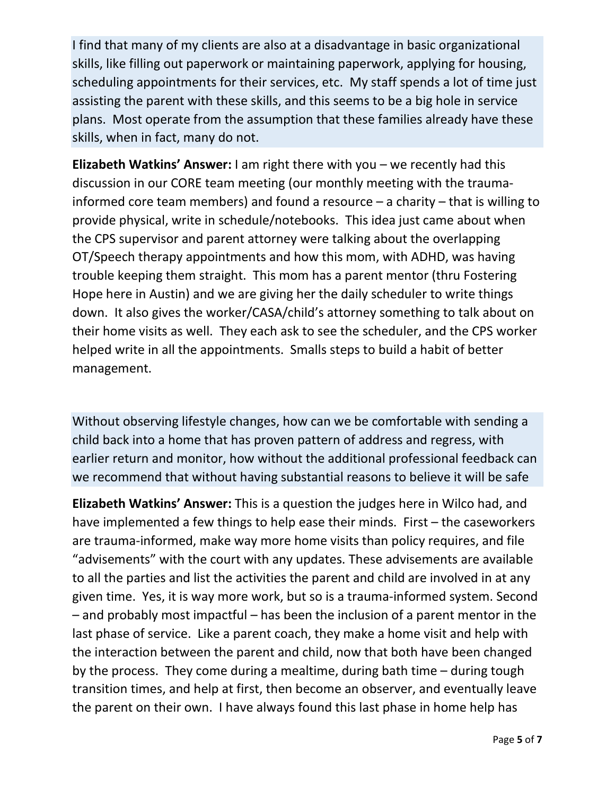I find that many of my clients are also at a disadvantage in basic organizational skills, like filling out paperwork or maintaining paperwork, applying for housing, scheduling appointments for their services, etc. My staff spends a lot of time just assisting the parent with these skills, and this seems to be a big hole in service plans. Most operate from the assumption that these families already have these skills, when in fact, many do not.

**Elizabeth Watkins' Answer:** I am right there with you – we recently had this discussion in our CORE team meeting (our monthly meeting with the traumainformed core team members) and found a resource – a charity – that is willing to provide physical, write in schedule/notebooks. This idea just came about when the CPS supervisor and parent attorney were talking about the overlapping OT/Speech therapy appointments and how this mom, with ADHD, was having trouble keeping them straight. This mom has a parent mentor (thru Fostering Hope here in Austin) and we are giving her the daily scheduler to write things down. It also gives the worker/CASA/child's attorney something to talk about on their home visits as well. They each ask to see the scheduler, and the CPS worker helped write in all the appointments. Smalls steps to build a habit of better management.

Without observing lifestyle changes, how can we be comfortable with sending a child back into a home that has proven pattern of address and regress, with earlier return and monitor, how without the additional professional feedback can we recommend that without having substantial reasons to believe it will be safe

**Elizabeth Watkins' Answer:** This is a question the judges here in Wilco had, and have implemented a few things to help ease their minds. First – the caseworkers are trauma-informed, make way more home visits than policy requires, and file "advisements" with the court with any updates. These advisements are available to all the parties and list the activities the parent and child are involved in at any given time. Yes, it is way more work, but so is a trauma-informed system. Second – and probably most impactful – has been the inclusion of a parent mentor in the last phase of service. Like a parent coach, they make a home visit and help with the interaction between the parent and child, now that both have been changed by the process. They come during a mealtime, during bath time – during tough transition times, and help at first, then become an observer, and eventually leave the parent on their own. I have always found this last phase in home help has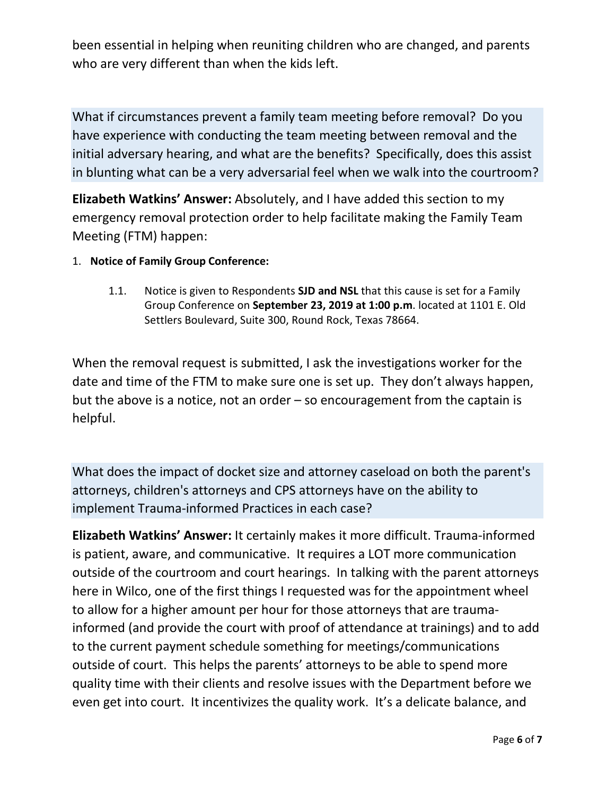been essential in helping when reuniting children who are changed, and parents who are very different than when the kids left.

What if circumstances prevent a family team meeting before removal? Do you have experience with conducting the team meeting between removal and the initial adversary hearing, and what are the benefits? Specifically, does this assist in blunting what can be a very adversarial feel when we walk into the courtroom?

**Elizabeth Watkins' Answer:** Absolutely, and I have added this section to my emergency removal protection order to help facilitate making the Family Team Meeting (FTM) happen:

- 1. **Notice of Family Group Conference:** 
	- 1.1. Notice is given to Respondents **SJD and NSL** that this cause is set for a Family Group Conference on **September 23, 2019 at 1:00 p.m**. located at 1101 E. Old Settlers Boulevard, Suite 300, Round Rock, Texas 78664.

When the removal request is submitted, I ask the investigations worker for the date and time of the FTM to make sure one is set up. They don't always happen, but the above is a notice, not an order – so encouragement from the captain is helpful.

What does the impact of docket size and attorney caseload on both the parent's attorneys, children's attorneys and CPS attorneys have on the ability to implement Trauma-informed Practices in each case?

**Elizabeth Watkins' Answer:** It certainly makes it more difficult. Trauma-informed is patient, aware, and communicative. It requires a LOT more communication outside of the courtroom and court hearings. In talking with the parent attorneys here in Wilco, one of the first things I requested was for the appointment wheel to allow for a higher amount per hour for those attorneys that are traumainformed (and provide the court with proof of attendance at trainings) and to add to the current payment schedule something for meetings/communications outside of court. This helps the parents' attorneys to be able to spend more quality time with their clients and resolve issues with the Department before we even get into court. It incentivizes the quality work. It's a delicate balance, and